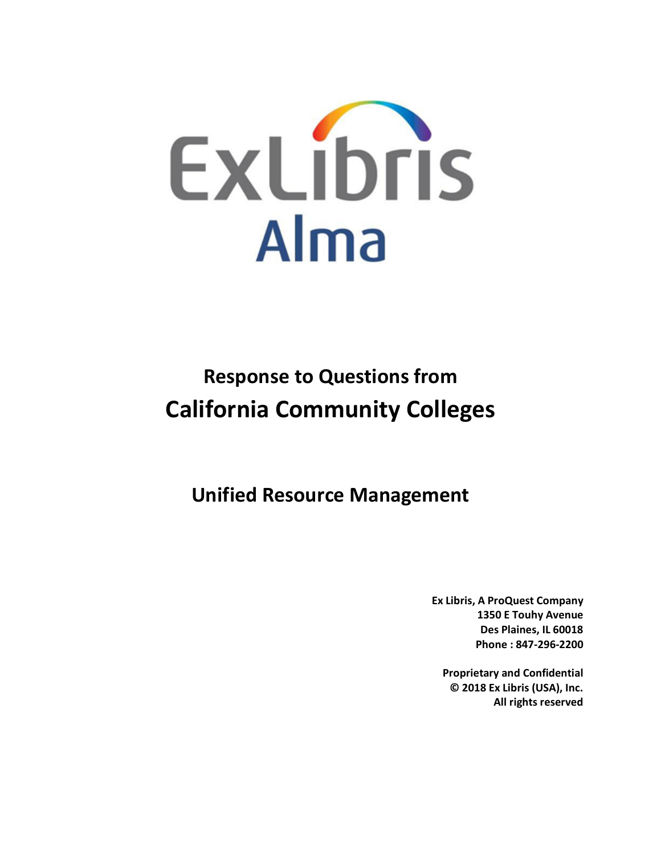

# **Response to Questions from California Community Colleges**

**Unified Resource Management**

**Ex Libris, A ProQuest Company 1350 E Touhy Avenue Des Plaines, IL 60018 Phone : 847-296-2200**

**Proprietary and Confidential © 2018 Ex Libris (USA), Inc. All rights reserved**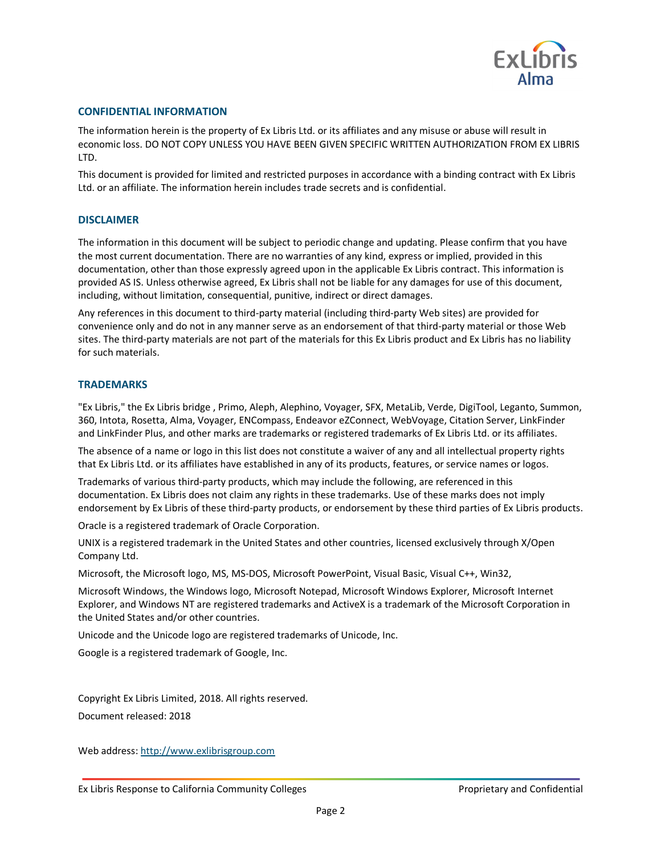

#### **CONFIDENTIAL INFORMATION**

The information herein is the property of Ex Libris Ltd. or its affiliates and any misuse or abuse will result in economic loss. DO NOT COPY UNLESS YOU HAVE BEEN GIVEN SPECIFIC WRITTEN AUTHORIZATION FROM EX LIBRIS LTD.

This document is provided for limited and restricted purposes in accordance with a binding contract with Ex Libris Ltd. or an affiliate. The information herein includes trade secrets and is confidential.

#### **DISCLAIMER**

The information in this document will be subject to periodic change and updating. Please confirm that you have the most current documentation. There are no warranties of any kind, express or implied, provided in this documentation, other than those expressly agreed upon in the applicable Ex Libris contract. This information is provided AS IS. Unless otherwise agreed, Ex Libris shall not be liable for any damages for use of this document, including, without limitation, consequential, punitive, indirect or direct damages.

Any references in this document to third-party material (including third-party Web sites) are provided for convenience only and do not in any manner serve as an endorsement of that third-party material or those Web sites. The third-party materials are not part of the materials for this Ex Libris product and Ex Libris has no liability for such materials.

#### **TRADEMARKS**

"Ex Libris," the Ex Libris bridge , Primo, Aleph, Alephino, Voyager, SFX, MetaLib, Verde, DigiTool, Leganto, Summon, 360, Intota, Rosetta, Alma, Voyager, ENCompass, Endeavor eZConnect, WebVoyage, Citation Server, LinkFinder and LinkFinder Plus, and other marks are trademarks or registered trademarks of Ex Libris Ltd. or its affiliates.

The absence of a name or logo in this list does not constitute a waiver of any and all intellectual property rights that Ex Libris Ltd. or its affiliates have established in any of its products, features, or service names or logos.

Trademarks of various third-party products, which may include the following, are referenced in this documentation. Ex Libris does not claim any rights in these trademarks. Use of these marks does not imply endorsement by Ex Libris of these third-party products, or endorsement by these third parties of Ex Libris products.

Oracle is a registered trademark of Oracle Corporation.

UNIX is a registered trademark in the United States and other countries, licensed exclusively through X/Open Company Ltd.

Microsoft, the Microsoft logo, MS, MS-DOS, Microsoft PowerPoint, Visual Basic, Visual C++, Win32,

Microsoft Windows, the Windows logo, Microsoft Notepad, Microsoft Windows Explorer, Microsoft Internet Explorer, and Windows NT are registered trademarks and ActiveX is a trademark of the Microsoft Corporation in the United States and/or other countries.

Unicode and the Unicode logo are registered trademarks of Unicode, Inc.

Google is a registered trademark of Google, Inc.

Copyright Ex Libris Limited, 2018. All rights reserved. Document released: 2018

Web address: http://www.exlibrisgroup.com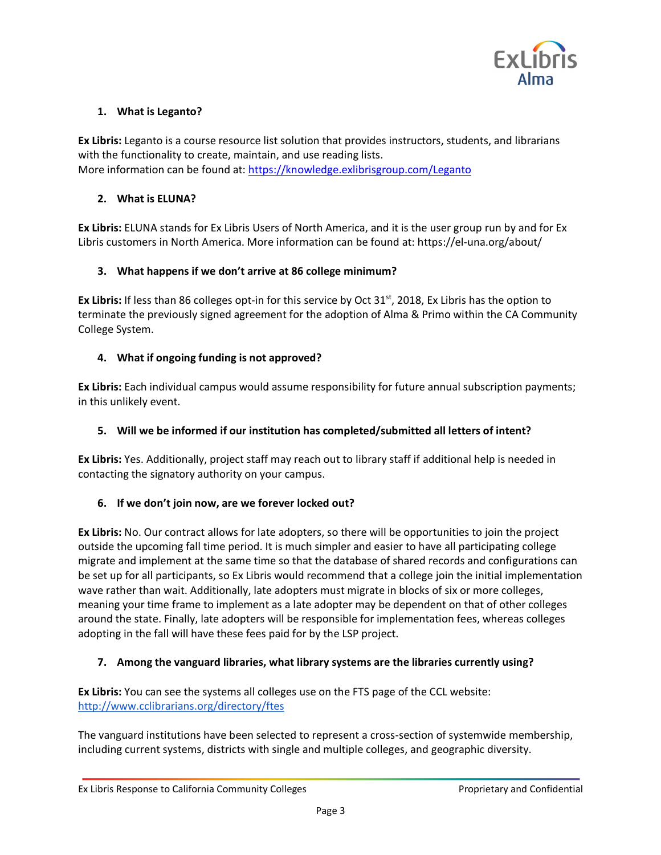

# **1. What is Leganto?**

**Ex Libris:** Leganto is a course resource list solution that provides instructors, students, and librarians with the functionality to create, maintain, and use reading lists. More information can be found at: https://knowledge.exlibrisgroup.com/Leganto

## **2. What is ELUNA?**

**Ex Libris:** ELUNA stands for Ex Libris Users of North America, and it is the user group run by and for Ex Libris customers in North America. More information can be found at: https://el-una.org/about/

# **3. What happens if we don't arrive at 86 college minimum?**

**Ex Libris:** If less than 86 colleges opt-in for this service by Oct 31<sup>st</sup>, 2018, Ex Libris has the option to terminate the previously signed agreement for the adoption of Alma & Primo within the CA Community College System.

## **4. What if ongoing funding is not approved?**

**Ex Libris:** Each individual campus would assume responsibility for future annual subscription payments; in this unlikely event.

# **5. Will we be informed if our institution has completed/submitted all letters of intent?**

**Ex Libris:** Yes. Additionally, project staff may reach out to library staff if additional help is needed in contacting the signatory authority on your campus.

# **6. If we don't join now, are we forever locked out?**

**Ex Libris:** No. Our contract allows for late adopters, so there will be opportunities to join the project outside the upcoming fall time period. It is much simpler and easier to have all participating college migrate and implement at the same time so that the database of shared records and configurations can be set up for all participants, so Ex Libris would recommend that a college join the initial implementation wave rather than wait. Additionally, late adopters must migrate in blocks of six or more colleges, meaning your time frame to implement as a late adopter may be dependent on that of other colleges around the state. Finally, late adopters will be responsible for implementation fees, whereas colleges adopting in the fall will have these fees paid for by the LSP project.

# **7. Among the vanguard libraries, what library systems are the libraries currently using?**

**Ex Libris:** You can see the systems all colleges use on the FTS page of the CCL website: http://www.cclibrarians.org/directory/ftes

The vanguard institutions have been selected to represent a cross-section of systemwide membership, including current systems, districts with single and multiple colleges, and geographic diversity.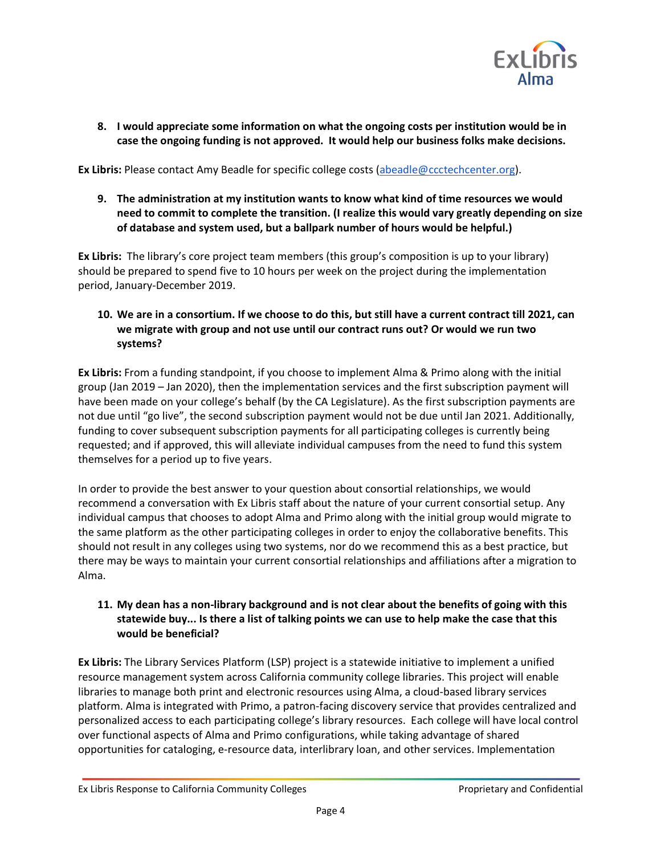

**8. I would appreciate some information on what the ongoing costs per institution would be in case the ongoing funding is not approved. It would help our business folks make decisions.**

**Ex Libris:** Please contact Amy Beadle for specific college costs (abeadle@ccctechcenter.org).

**9. The administration at my institution wants to know what kind of time resources we would need to commit to complete the transition. (I realize this would vary greatly depending on size of database and system used, but a ballpark number of hours would be helpful.)**

**Ex Libris:** The library's core project team members (this group's composition is up to your library) should be prepared to spend five to 10 hours per week on the project during the implementation period, January-December 2019.

**10. We are in a consortium. If we choose to do this, but still have a current contract till 2021, can we migrate with group and not use until our contract runs out? Or would we run two systems?**

**Ex Libris:** From a funding standpoint, if you choose to implement Alma & Primo along with the initial group (Jan 2019 – Jan 2020), then the implementation services and the first subscription payment will have been made on your college's behalf (by the CA Legislature). As the first subscription payments are not due until "go live", the second subscription payment would not be due until Jan 2021. Additionally, funding to cover subsequent subscription payments for all participating colleges is currently being requested; and if approved, this will alleviate individual campuses from the need to fund this system themselves for a period up to five years.

In order to provide the best answer to your question about consortial relationships, we would recommend a conversation with Ex Libris staff about the nature of your current consortial setup. Any individual campus that chooses to adopt Alma and Primo along with the initial group would migrate to the same platform as the other participating colleges in order to enjoy the collaborative benefits. This should not result in any colleges using two systems, nor do we recommend this as a best practice, but there may be ways to maintain your current consortial relationships and affiliations after a migration to Alma.

# **11. My dean has a non-library background and is not clear about the benefits of going with this statewide buy... Is there a list of talking points we can use to help make the case that this would be beneficial?**

**Ex Libris:** The Library Services Platform (LSP) project is a statewide initiative to implement a unified resource management system across California community college libraries. This project will enable libraries to manage both print and electronic resources using Alma, a cloud-based library services platform. Alma is integrated with Primo, a patron-facing discovery service that provides centralized and personalized access to each participating college's library resources. Each college will have local control over functional aspects of Alma and Primo configurations, while taking advantage of shared opportunities for cataloging, e-resource data, interlibrary loan, and other services. Implementation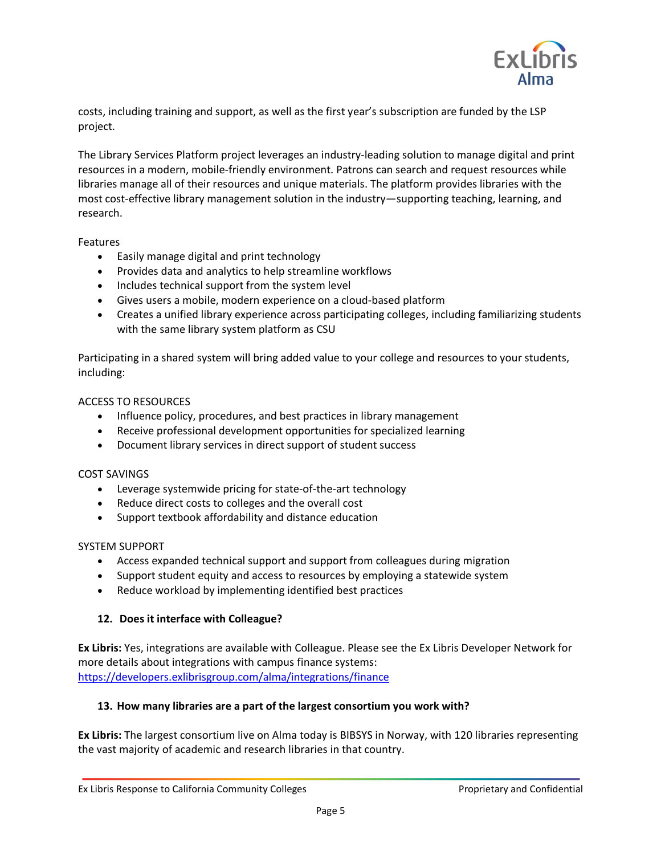

costs, including training and support, as well as the first year's subscription are funded by the LSP project.

The Library Services Platform project leverages an industry-leading solution to manage digital and print resources in a modern, mobile-friendly environment. Patrons can search and request resources while libraries manage all of their resources and unique materials. The platform provides libraries with the most cost-effective library management solution in the industry―supporting teaching, learning, and research.

#### Features

- Easily manage digital and print technology
- Provides data and analytics to help streamline workflows
- Includes technical support from the system level
- Gives users a mobile, modern experience on a cloud-based platform
- Creates a unified library experience across participating colleges, including familiarizing students with the same library system platform as CSU

Participating in a shared system will bring added value to your college and resources to your students, including:

#### ACCESS TO RESOURCES

- Influence policy, procedures, and best practices in library management
- Receive professional development opportunities for specialized learning
- Document library services in direct support of student success

#### COST SAVINGS

- Leverage systemwide pricing for state-of-the-art technology
- Reduce direct costs to colleges and the overall cost
- Support textbook affordability and distance education

#### SYSTEM SUPPORT

- Access expanded technical support and support from colleagues during migration
- Support student equity and access to resources by employing a statewide system
- Reduce workload by implementing identified best practices

#### **12. Does it interface with Colleague?**

**Ex Libris:** Yes, integrations are available with Colleague. Please see the Ex Libris Developer Network for more details about integrations with campus finance systems: https://developers.exlibrisgroup.com/alma/integrations/finance

#### **13. How many libraries are a part of the largest consortium you work with?**

**Ex Libris:** The largest consortium live on Alma today is BIBSYS in Norway, with 120 libraries representing the vast majority of academic and research libraries in that country.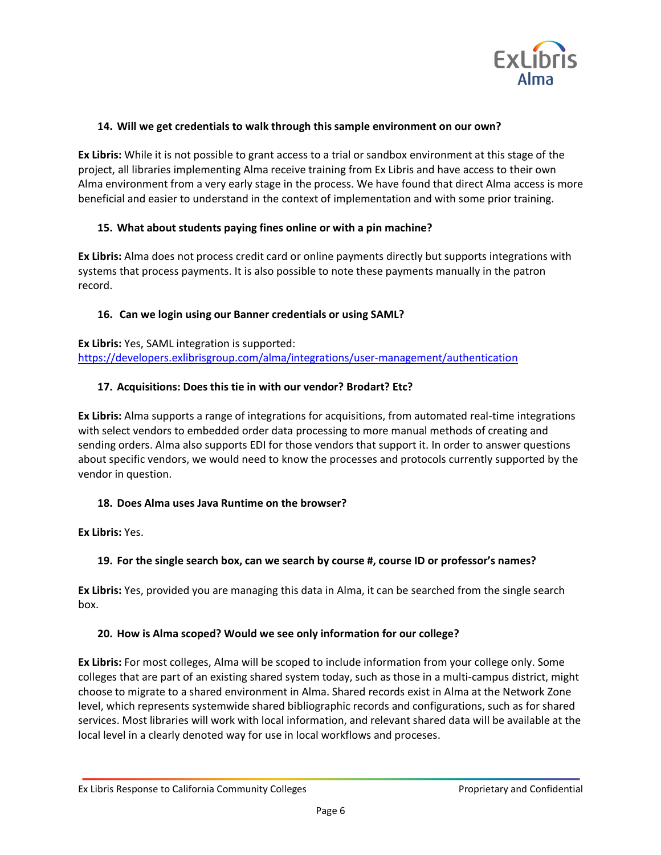

#### **14. Will we get credentials to walk through this sample environment on our own?**

**Ex Libris:** While it is not possible to grant access to a trial or sandbox environment at this stage of the project, all libraries implementing Alma receive training from Ex Libris and have access to their own Alma environment from a very early stage in the process. We have found that direct Alma access is more beneficial and easier to understand in the context of implementation and with some prior training.

## **15. What about students paying fines online or with a pin machine?**

**Ex Libris:** Alma does not process credit card or online payments directly but supports integrations with systems that process payments. It is also possible to note these payments manually in the patron record.

## **16. Can we login using our Banner credentials or using SAML?**

**Ex Libris:** Yes, SAML integration is supported: https://developers.exlibrisgroup.com/alma/integrations/user-management/authentication

## **17. Acquisitions: Does this tie in with our vendor? Brodart? Etc?**

**Ex Libris:** Alma supports a range of integrations for acquisitions, from automated real-time integrations with select vendors to embedded order data processing to more manual methods of creating and sending orders. Alma also supports EDI for those vendors that support it. In order to answer questions about specific vendors, we would need to know the processes and protocols currently supported by the vendor in question.

#### **18. Does Alma uses Java Runtime on the browser?**

**Ex Libris:** Yes.

# **19. For the single search box, can we search by course #, course ID or professor's names?**

**Ex Libris:** Yes, provided you are managing this data in Alma, it can be searched from the single search box.

# **20. How is Alma scoped? Would we see only information for our college?**

**Ex Libris:** For most colleges, Alma will be scoped to include information from your college only. Some colleges that are part of an existing shared system today, such as those in a multi-campus district, might choose to migrate to a shared environment in Alma. Shared records exist in Alma at the Network Zone level, which represents systemwide shared bibliographic records and configurations, such as for shared services. Most libraries will work with local information, and relevant shared data will be available at the local level in a clearly denoted way for use in local workflows and proceses.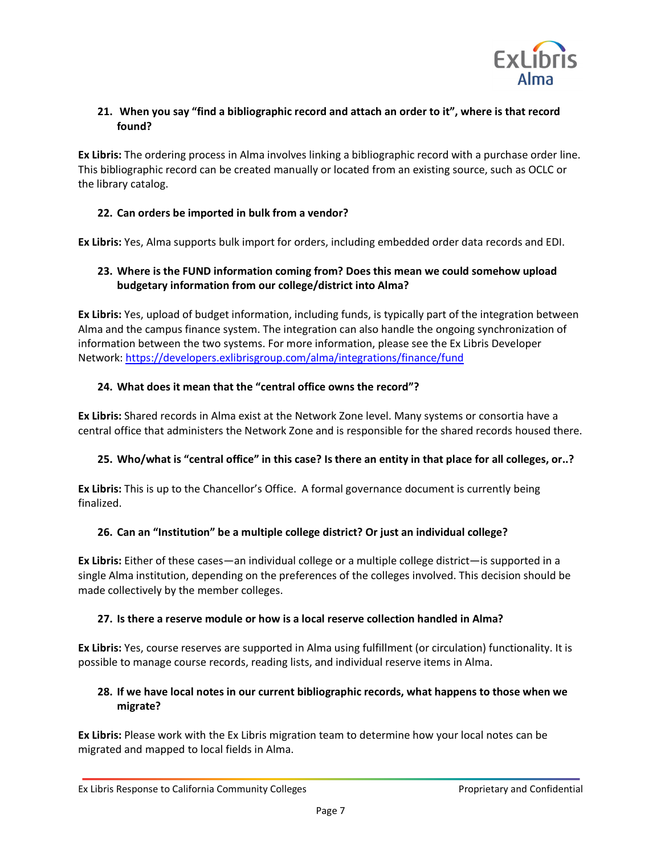

# **21. When you say "find a bibliographic record and attach an order to it", where is that record found?**

**Ex Libris:** The ordering process in Alma involves linking a bibliographic record with a purchase order line. This bibliographic record can be created manually or located from an existing source, such as OCLC or the library catalog.

# **22. Can orders be imported in bulk from a vendor?**

**Ex Libris:** Yes, Alma supports bulk import for orders, including embedded order data records and EDI.

# **23. Where is the FUND information coming from? Does this mean we could somehow upload budgetary information from our college/district into Alma?**

**Ex Libris:** Yes, upload of budget information, including funds, is typically part of the integration between Alma and the campus finance system. The integration can also handle the ongoing synchronization of information between the two systems. For more information, please see the Ex Libris Developer Network: https://developers.exlibrisgroup.com/alma/integrations/finance/fund

## **24. What does it mean that the "central office owns the record"?**

**Ex Libris:** Shared records in Alma exist at the Network Zone level. Many systems or consortia have a central office that administers the Network Zone and is responsible for the shared records housed there.

#### **25. Who/what is "central office" in this case? Is there an entity in that place for all colleges, or..?**

**Ex Libris:** This is up to the Chancellor's Office. A formal governance document is currently being finalized.

# **26. Can an "Institution" be a multiple college district? Or just an individual college?**

**Ex Libris:** Either of these cases—an individual college or a multiple college district—is supported in a single Alma institution, depending on the preferences of the colleges involved. This decision should be made collectively by the member colleges.

#### **27. Is there a reserve module or how is a local reserve collection handled in Alma?**

**Ex Libris:** Yes, course reserves are supported in Alma using fulfillment (or circulation) functionality. It is possible to manage course records, reading lists, and individual reserve items in Alma.

# **28. If we have local notes in our current bibliographic records, what happens to those when we migrate?**

**Ex Libris:** Please work with the Ex Libris migration team to determine how your local notes can be migrated and mapped to local fields in Alma.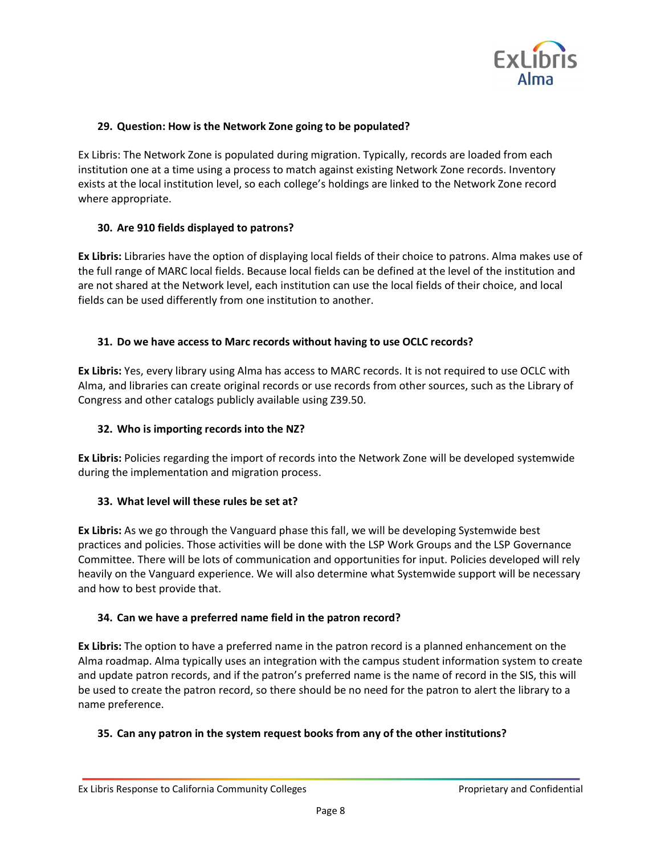

## **29. Question: How is the Network Zone going to be populated?**

Ex Libris: The Network Zone is populated during migration. Typically, records are loaded from each institution one at a time using a process to match against existing Network Zone records. Inventory exists at the local institution level, so each college's holdings are linked to the Network Zone record where appropriate.

#### **30. Are 910 fields displayed to patrons?**

**Ex Libris:** Libraries have the option of displaying local fields of their choice to patrons. Alma makes use of the full range of MARC local fields. Because local fields can be defined at the level of the institution and are not shared at the Network level, each institution can use the local fields of their choice, and local fields can be used differently from one institution to another.

## **31. Do we have access to Marc records without having to use OCLC records?**

**Ex Libris:** Yes, every library using Alma has access to MARC records. It is not required to use OCLC with Alma, and libraries can create original records or use records from other sources, such as the Library of Congress and other catalogs publicly available using Z39.50.

#### **32. Who is importing records into the NZ?**

**Ex Libris:** Policies regarding the import of records into the Network Zone will be developed systemwide during the implementation and migration process.

#### **33. What level will these rules be set at?**

**Ex Libris:** As we go through the Vanguard phase this fall, we will be developing Systemwide best practices and policies. Those activities will be done with the LSP Work Groups and the LSP Governance Committee. There will be lots of communication and opportunities for input. Policies developed will rely heavily on the Vanguard experience. We will also determine what Systemwide support will be necessary and how to best provide that.

#### **34. Can we have a preferred name field in the patron record?**

**Ex Libris:** The option to have a preferred name in the patron record is a planned enhancement on the Alma roadmap. Alma typically uses an integration with the campus student information system to create and update patron records, and if the patron's preferred name is the name of record in the SIS, this will be used to create the patron record, so there should be no need for the patron to alert the library to a name preference.

# **35. Can any patron in the system request books from any of the other institutions?**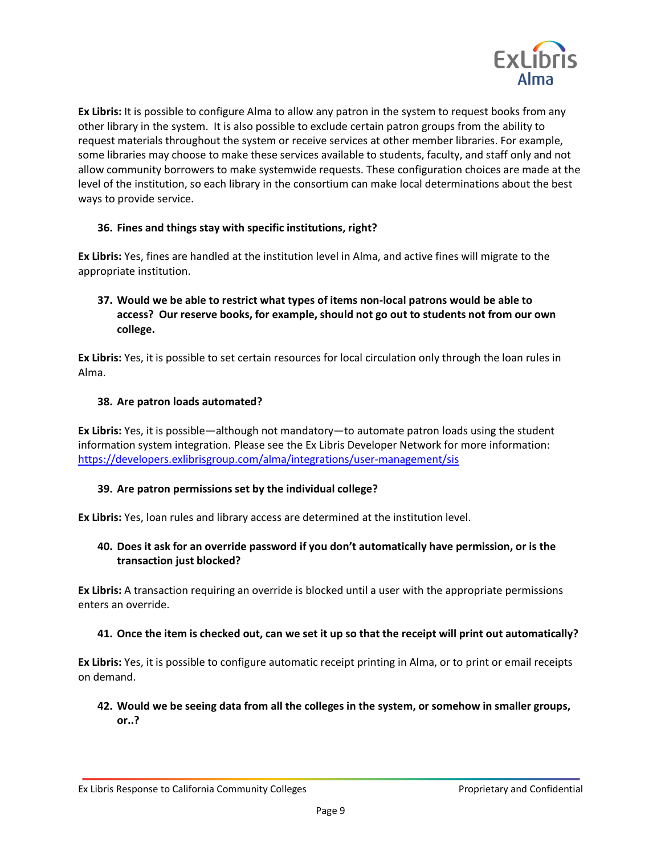

**Ex Libris:** It is possible to configure Alma to allow any patron in the system to request books from any other library in the system. It is also possible to exclude certain patron groups from the ability to request materials throughout the system or receive services at other member libraries. For example, some libraries may choose to make these services available to students, faculty, and staff only and not allow community borrowers to make systemwide requests. These configuration choices are made at the level of the institution, so each library in the consortium can make local determinations about the best ways to provide service.

## **36. Fines and things stay with specific institutions, right?**

**Ex Libris:** Yes, fines are handled at the institution level in Alma, and active fines will migrate to the appropriate institution.

# **37. Would we be able to restrict what types of items non-local patrons would be able to access? Our reserve books, for example, should not go out to students not from our own college.**

**Ex Libris:** Yes, it is possible to set certain resources for local circulation only through the loan rules in Alma.

#### **38. Are patron loads automated?**

**Ex Libris:** Yes, it is possible—although not mandatory—to automate patron loads using the student information system integration. Please see the Ex Libris Developer Network for more information: https://developers.exlibrisgroup.com/alma/integrations/user-management/sis

#### **39. Are patron permissions set by the individual college?**

**Ex Libris:** Yes, loan rules and library access are determined at the institution level.

## **40. Does it ask for an override password if you don't automatically have permission, or is the transaction just blocked?**

**Ex Libris:** A transaction requiring an override is blocked until a user with the appropriate permissions enters an override.

#### **41. Once the item is checked out, can we set it up so that the receipt will print out automatically?**

**Ex Libris:** Yes, it is possible to configure automatic receipt printing in Alma, or to print or email receipts on demand.

## **42. Would we be seeing data from all the colleges in the system, or somehow in smaller groups, or..?**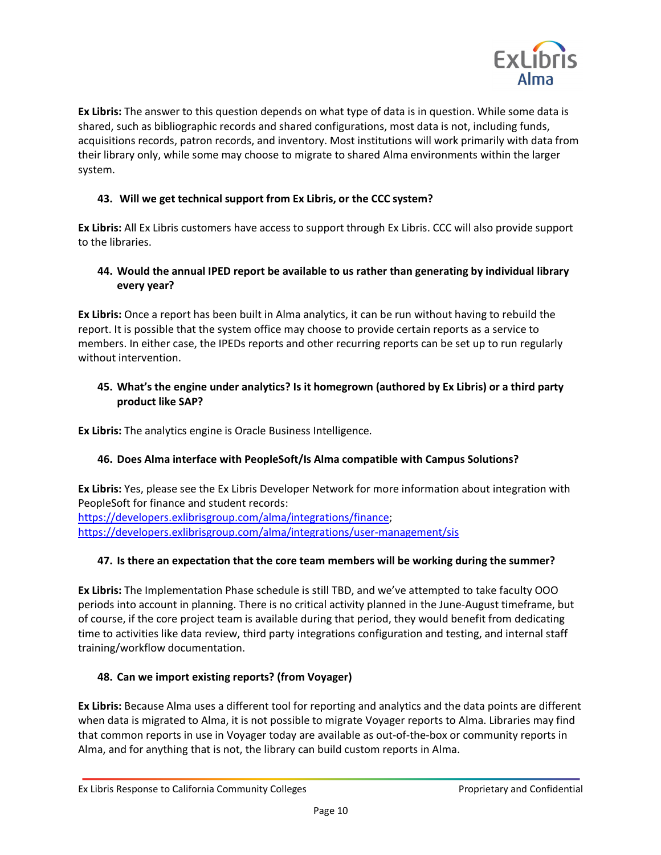

**Ex Libris:** The answer to this question depends on what type of data is in question. While some data is shared, such as bibliographic records and shared configurations, most data is not, including funds, acquisitions records, patron records, and inventory. Most institutions will work primarily with data from their library only, while some may choose to migrate to shared Alma environments within the larger system.

# **43. Will we get technical support from Ex Libris, or the CCC system?**

**Ex Libris:** All Ex Libris customers have access to support through Ex Libris. CCC will also provide support to the libraries.

## **44. Would the annual IPED report be available to us rather than generating by individual library every year?**

**Ex Libris:** Once a report has been built in Alma analytics, it can be run without having to rebuild the report. It is possible that the system office may choose to provide certain reports as a service to members. In either case, the IPEDs reports and other recurring reports can be set up to run regularly without intervention.

# **45. What's the engine under analytics? Is it homegrown (authored by Ex Libris) or a third party product like SAP?**

**Ex Libris:** The analytics engine is Oracle Business Intelligence.

# **46. Does Alma interface with PeopleSoft/Is Alma compatible with Campus Solutions?**

**Ex Libris:** Yes, please see the Ex Libris Developer Network for more information about integration with PeopleSoft for finance and student records:

https://developers.exlibrisgroup.com/alma/integrations/finance; https://developers.exlibrisgroup.com/alma/integrations/user-management/sis

# **47. Is there an expectation that the core team members will be working during the summer?**

**Ex Libris:** The Implementation Phase schedule is still TBD, and we've attempted to take faculty OOO periods into account in planning. There is no critical activity planned in the June-August timeframe, but of course, if the core project team is available during that period, they would benefit from dedicating time to activities like data review, third party integrations configuration and testing, and internal staff training/workflow documentation.

# **48. Can we import existing reports? (from Voyager)**

**Ex Libris:** Because Alma uses a different tool for reporting and analytics and the data points are different when data is migrated to Alma, it is not possible to migrate Voyager reports to Alma. Libraries may find that common reports in use in Voyager today are available as out-of-the-box or community reports in Alma, and for anything that is not, the library can build custom reports in Alma.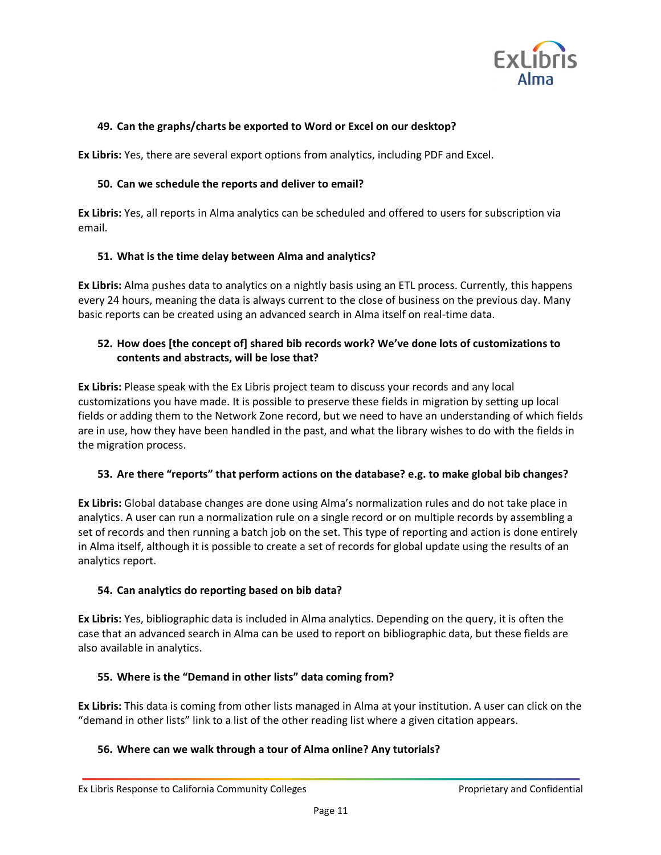

#### **49. Can the graphs/charts be exported to Word or Excel on our desktop?**

**Ex Libris:** Yes, there are several export options from analytics, including PDF and Excel.

#### **50. Can we schedule the reports and deliver to email?**

**Ex Libris:** Yes, all reports in Alma analytics can be scheduled and offered to users for subscription via email.

## **51. What is the time delay between Alma and analytics?**

**Ex Libris:** Alma pushes data to analytics on a nightly basis using an ETL process. Currently, this happens every 24 hours, meaning the data is always current to the close of business on the previous day. Many basic reports can be created using an advanced search in Alma itself on real-time data.

## **52. How does [the concept of] shared bib records work? We've done lots of customizations to contents and abstracts, will be lose that?**

**Ex Libris:** Please speak with the Ex Libris project team to discuss your records and any local customizations you have made. It is possible to preserve these fields in migration by setting up local fields or adding them to the Network Zone record, but we need to have an understanding of which fields are in use, how they have been handled in the past, and what the library wishes to do with the fields in the migration process.

#### **53. Are there "reports" that perform actions on the database? e.g. to make global bib changes?**

**Ex Libris:** Global database changes are done using Alma's normalization rules and do not take place in analytics. A user can run a normalization rule on a single record or on multiple records by assembling a set of records and then running a batch job on the set. This type of reporting and action is done entirely in Alma itself, although it is possible to create a set of records for global update using the results of an analytics report.

# **54. Can analytics do reporting based on bib data?**

**Ex Libris:** Yes, bibliographic data is included in Alma analytics. Depending on the query, it is often the case that an advanced search in Alma can be used to report on bibliographic data, but these fields are also available in analytics.

# **55. Where is the "Demand in other lists" data coming from?**

**Ex Libris:** This data is coming from other lists managed in Alma at your institution. A user can click on the "demand in other lists" link to a list of the other reading list where a given citation appears.

#### **56. Where can we walk through a tour of Alma online? Any tutorials?**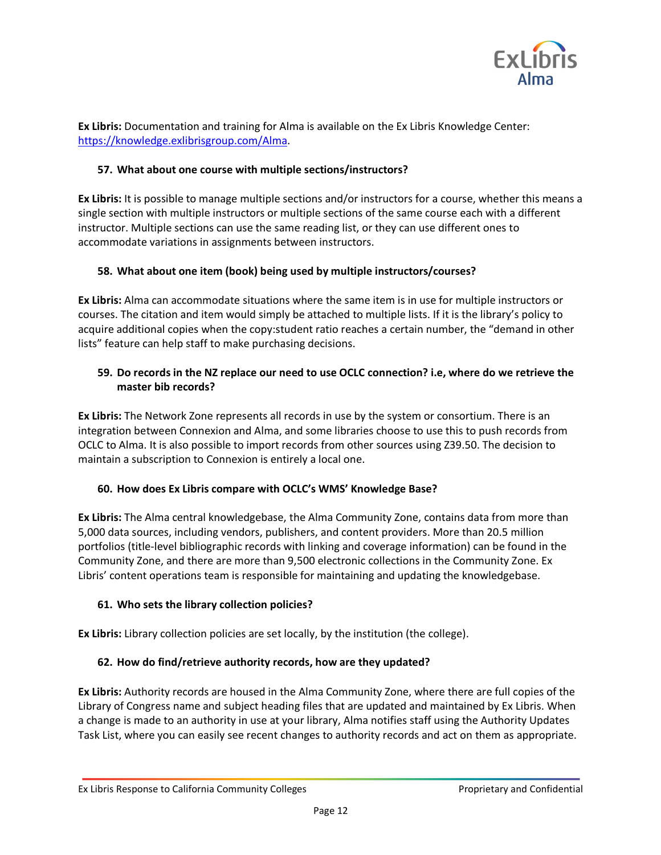

**Ex Libris:** Documentation and training for Alma is available on the Ex Libris Knowledge Center: https://knowledge.exlibrisgroup.com/Alma.

## **57. What about one course with multiple sections/instructors?**

**Ex Libris:** It is possible to manage multiple sections and/or instructors for a course, whether this means a single section with multiple instructors or multiple sections of the same course each with a different instructor. Multiple sections can use the same reading list, or they can use different ones to accommodate variations in assignments between instructors.

## **58. What about one item (book) being used by multiple instructors/courses?**

**Ex Libris:** Alma can accommodate situations where the same item is in use for multiple instructors or courses. The citation and item would simply be attached to multiple lists. If it is the library's policy to acquire additional copies when the copy:student ratio reaches a certain number, the "demand in other lists" feature can help staff to make purchasing decisions.

## **59. Do records in the NZ replace our need to use OCLC connection? i.e, where do we retrieve the master bib records?**

**Ex Libris:** The Network Zone represents all records in use by the system or consortium. There is an integration between Connexion and Alma, and some libraries choose to use this to push records from OCLC to Alma. It is also possible to import records from other sources using Z39.50. The decision to maintain a subscription to Connexion is entirely a local one.

#### **60. How does Ex Libris compare with OCLC's WMS' Knowledge Base?**

**Ex Libris:** The Alma central knowledgebase, the Alma Community Zone, contains data from more than 5,000 data sources, including vendors, publishers, and content providers. More than 20.5 million portfolios (title-level bibliographic records with linking and coverage information) can be found in the Community Zone, and there are more than 9,500 electronic collections in the Community Zone. Ex Libris' content operations team is responsible for maintaining and updating the knowledgebase.

#### **61. Who sets the library collection policies?**

**Ex Libris:** Library collection policies are set locally, by the institution (the college).

# **62. How do find/retrieve authority records, how are they updated?**

**Ex Libris:** Authority records are housed in the Alma Community Zone, where there are full copies of the Library of Congress name and subject heading files that are updated and maintained by Ex Libris. When a change is made to an authority in use at your library, Alma notifies staff using the Authority Updates Task List, where you can easily see recent changes to authority records and act on them as appropriate.